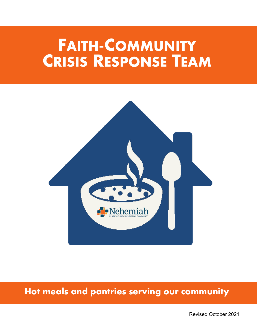# **FAITH-COMMUNITY CRISIS RESPONSE TEAM**



### **Hot meals and pantries serving our community**

Revised October 2021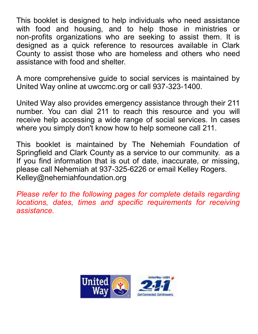This booklet is designed to help individuals who need assistance with food and housing, and to help those in ministries or non-profits organizations who are seeking to assist them. It is designed as a quick reference to resources available in Clark County to assist those who are homeless and others who need assistance with food and shelter.

A more comprehensive guide to social services is maintained by United Way online at uwccmc.org or call 937-323-1400.

United Way also provides emergency assistance through their 211 number. You can dial 211 to reach this resource and you will receive help accessing a wide range of social services. In cases where you simply don't know how to help someone call 211.

This booklet is maintained by The Nehemiah Foundation of Springfield and Clark County as a service to our community. as a If you find information that is out of date, inaccurate, or missing, please call Nehemiah at 937-325-6226 or email Kelley Rogers. Kelley@nehemiahfoundation.org

*Please refer to the following pages for complete details regarding locations, dates, times and specific requirements for receiving assistance.*

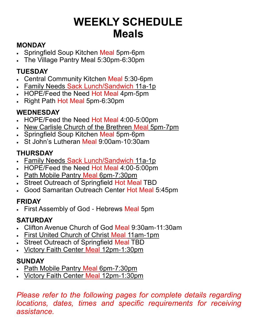## **WEEKLY SCHEDULE Meals**

### **MONDAY**

- Springfield Soup Kitchen Meal 5pm-6pm
- The Village Pantry Meal 5:30pm-6:30pm

### **TUESDAY**

- Central Community Kitchen Meal 5:30-6pm
- **Family Needs Sack Lunch/Sandwich 11a-1p**
- HOPE/Feed the Need Hot Meal 4pm-5pm
- Right Path Hot Meal 5pm-6:30pm

### **WEDNESDAY**

- HOPE/Feed the Need Hot Meal 4:00-5:00pm
- New Carlisle Church of the Brethren Meal 5pm-7pm
- Springfield Soup Kitchen Meal 5pm-6pm
- St John's Lutheran Meal 9:00am-10:30am

### **THURSDAY**

- **Family Needs Sack Lunch/Sandwich 11a-1p**
- HOPE/Feed the Need Hot Meal 4:00-5:00pm
- Path Mobile Pantry Meal 6pm-7:30pm
- **Street Outreach of Springfield Hot Meal TBD**
- Good Samaritan Outreach Center Hot Meal 5:45pm

### **FRIDAY**

• First Assembly of God - Hebrews Meal 5pm

## **SATURDAY**

- Clifton Avenue Church of God Meal 9:30am-11:30am
- **First United Church of Christ Meal 11am-1pm**
- **Street Outreach of Springfield Meal TBD**
- Victory Faith Center Meal 12pm-1:30pm

### **SUNDAY**

- Path Mobile Pantry Meal 6pm-7:30pm
- Victory Faith Center Meal 12pm-1:30pm

*Please refer to the following pages for complete details regarding locations, dates, times and specific requirements for receiving assistance.*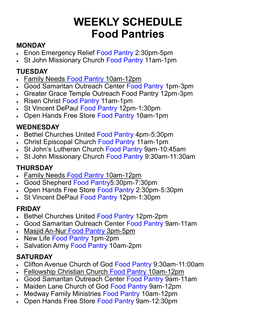## **WEEKLY SCHEDULE Food Pantries**

### **MONDAY**

- Enon Emergency Relief Food Pantry 2:30pm-5pm
- St John Missionary Church Food Pantry 11am-1pm

### **TUESDAY**

- **Family Needs Food Pantry 10am-12pm**
- Good Samaritan Outreach Center Food Pantry 1pm-3pm
- Greater Grace Temple Outreach Food Pantry 12pm-3pm
- Risen Christ Food Pantry 11am-1pm
- St Vincent DePaul Food Pantry 12pm-1:30pm
- Open Hands Free Store Food Pantry 10am-1pm

### **WEDNESDAY**

- Bethel Churches United Food Pantry 4pm-5:30pm
- Christ Episcopal Church Food Pantry 11am-1pm
- St John's Lutheran Church Food Pantry 9am-10:45am
- St John Missionary Church Food Pantry 9:30am-11:30am

### **THURSDAY**

- Family Needs Food Pantry 10am-12pm
- Good Shepherd Food Pantry5:30pm-7:30pm
- Open Hands Free Store Food Pantry 2:30pm-5:30pm
- St Vincent DePaul Food Pantry 12pm-1:30pm

### **FRIDAY**

- Bethel Churches United Food Pantry 12pm-2pm
- Good Samaritan Outreach Center Food Pantry 9am-11am
- Masjid An-Nur Food Pantry 3pm-5pm
- New Life Food Pantry 1pm-2pm
- Salvation Army Food Pantry 10am-2pm

### **SATURDAY**

- Clifton Avenue Church of God Food Pantry 9:30am-11:00am
- **Fellowship Christian Church Food Pantry 10am-12pm**
- Good Samaritan Outreach Center Food Pantry 9am-11am
- Maiden Lane Church of God Food Pantry 9am-12pm
- Medway Family Ministries Food Pantry 10am-12pm
- Open Hands Free Store Food Pantry 9am-12:30pm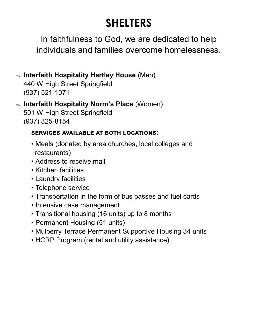## **SHELTERS**

In faithfulness to God, we are dedicated to help individuals and families overcome homelessness.

- **Interfaith Hospitality Hartley House** (Men) 440 W High Street Springfield (937) 521-1071
- **Interfaith Hospitality Norm's Place** (Women) 501 W High Street Springfield (937) 325-8154

#### **services available at both locations:**

- Meals (donated by area churches, local colleges and restaurants)
- Address to receive mail
- Kitchen facilities
- Laundry facilities
- Telephone service
- Transportation in the form of bus passes and fuel cards
- Intensive case management
- Transitional housing (16 units) up to 8 months
- Permanent Housing (51 units)
- Mulberry Terrace Permanent Supportive Housing 34 units
- HCRP Program (rental and utility assistance)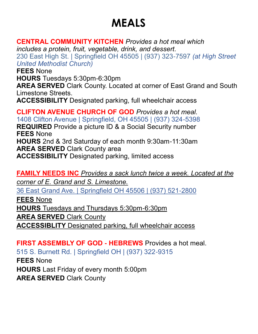**CENTRAL COMMUNITY KITCHEN** *Provides a hot meal which*

*includes a protein, fruit, vegetable, drink, and dessert.*  230 East High St. | Springfield OH 45505 | (937) 323-7597 *(at High Street United Methodist Church)* 

**FEES** None

**HOURS** Tuesdays 5:30pm-6:30pm

**AREA SERVED** Clark County. Located at corner of East Grand and South Limestone Streets.

**ACCESSIBILITY** Designated parking, full wheelchair access

**CLIFTON AVENUE CHURCH OF GOD** *Provides a hot meal.* 1408 Clifton Avenue | Springfield, OH 45505 | (937) 324-5398 **REQUIRED** Provide a picture ID & a Social Security number **FEES** None **HOURS** 2nd & 3rd Saturday of each month 9:30am-11:30am **AREA SERVED** Clark County area **ACCESSIBILITY** Designated parking, limited access

#### **FAMILY NEEDS INC** *Provides a sack lunch twice a week. Located at the corner of E. Grand and S. Limestone.*

36 East Grand Ave. | Springfield OH 45506 | (937) 521-2800

**FEES** None

**HOURS** Tuesdays and Thursdays 5:30pm-6:30pm

**AREA SERVED** Clark County

**ACCESSIBLITY** Designated parking, full wheelchair access

#### **FIRST ASSEMBLY OF GOD - HEBREWS** Provides a hot meal.

515 S. Burnett Rd. | Springfield OH | (937) 322-9315 **FEES** None **HOURS** Last Friday of every month 5:00pm **AREA SERVED** Clark County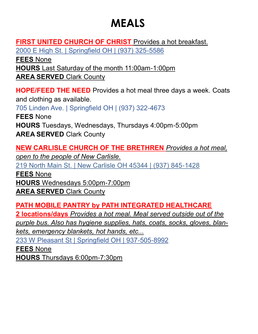#### **FIRST UNITED CHURCH OF CHRIST** Provides a hot breakfast.

2000 E High St. | Springfield OH | (937) 325-5586

**FEES** None **HOURS** Last Saturday of the month 11:00am-1:00pm **AREA SERVED** Clark County

**HOPE/FEED THE NEED** Provides a hot meal three days a week. Coats and clothing as available. 705 Linden Ave. | Springfield OH | (937) 322-4673 **FEES** None **HOURS** Tuesdays, Wednesdays, Thursdays 4:00pm-5:00pm **AREA SERVED** Clark County

**NEW CARLISLE CHURCH OF THE BRETHREN** *Provides a hot meal,* 

*open to the people of New Carlisle.*

219 North Main St. | New Carlisle OH 45344 | (937) 845-1428

**FEES** None **HOURS** Wednesdays 5:00pm-7:00pm **AREA SERVED** Clark County

### **PATH MOBILE PANTRY by PATH INTEGRATED HEALTHCARE**

**2 locations/days** *Provides a hot meal. Meal served outside out of the purple bus. Also has hygiene supplies, hats, coats, socks, gloves, blankets, emergency blankets, hot hands, etc...* 233 W Pleasant St | Springfield OH | 937-505-8992

**FEES** None

**HOURS** Thursdays 6:00pm-7:30pm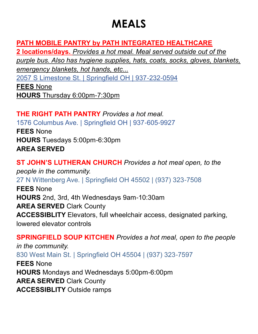#### **PATH MOBILE PANTRY by PATH INTEGRATED HEALTHCARE**

**2 locations/days.** *Provides a hot meal. Meal served outside out of the purple bus. Also has hygiene supplies, hats, coats, socks, gloves, blankets, emergency blankets, hot hands, etc...*

2057 S Limestone St. | Springfield OH | 937-232-0594

**FEES** None

**HOURS** Thursday 6:00pm-7:30pm

**THE RIGHT PATH PANTRY** *Provides a hot meal.*  1576 Columbus Ave. | Springfield OH | 937-605-9927 **FEES** None **HOURS** Tuesdays 5:00pm-6:30pm **AREA SERVED**

**ST JOHN'S LUTHERAN CHURCH** *Provides a hot meal open, to the people in the community.* 27 N Wittenberg Ave. | Springfield OH 45502 | (937) 323-7508 **FEES** None **HOURS** 2nd, 3rd, 4th Wednesdays 9am-10:30am **AREA SERVED** Clark County **ACCESSIBLITY** Elevators, full wheelchair access, designated parking, lowered elevator controls

**SPRINGFIELD SOUP KITCHEN** *Provides a hot meal, open to the people in the community.* 830 West Main St. | Springfield OH 45504 | (937) 323-7597 **FEES** None **HOURS** Mondays and Wednesdays 5:00pm-6:00pm **AREA SERVED** Clark County **ACCESSIBLITY** Outside ramps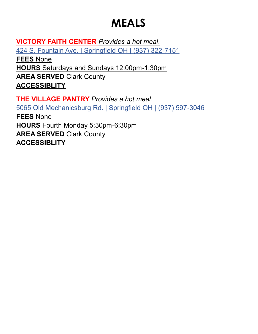**VICTORY FAITH CENTER** *Provides a hot meal*.

424 S. Fountain Ave. | Springfield OH | (937) 322-7151

**FEES** None **HOURS** Saturdays and Sundays 12:00pm-1:30pm **AREA SERVED** Clark County **ACCESSIBLITY**

**THE VILLAGE PANTRY** *Provides a hot meal.* 5065 Old Mechanicsburg Rd. | Springfield OH | (937) 597-3046 **FEES** None **HOURS** Fourth Monday 5:30pm-6:30pm **AREA SERVED** Clark County **ACCESSIBLITY**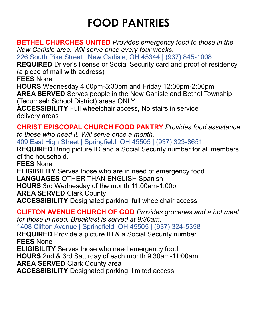**BETHEL CHURCHES UNITED** *Provides emergency food to those in the New Carlisle area. Will serve once every four weeks.*

226 South Pike Street | New Carlisle, OH 45344 | (937) 845-1008

**REQUIRED** Driver's license or Social Security card and proof of residency (a piece of mail with address)

**FEES** None

**HOURS** Wednesday 4:00pm-5:30pm and Friday 12:00pm-2:00pm **AREA SERVED** Serves people in the New Carlisle and Bethel Township (Tecumseh School District) areas ONLY

**ACCESSIBILITY** Full wheelchair access, No stairs in service delivery areas

**CHRIST EPISCOPAL CHURCH FOOD PANTRY** *Provides food assistance to those who need it. Will serve once a month.*

409 East High Street | Springfield, OH 45505 | (937) 323-8651 **REQUIRED** Bring picture ID and a Social Security number for all members

of the household.

**FEES** None

**ELIGIBILITY** Serves those who are in need of emergency food **LANGUAGES** OTHER THAN ENGLISH Spanish **HOURS** 3rd Wednesday of the month 11:00am-1:00pm **AREA SERVED** Clark County

**ACCESSIBILITY** Designated parking, full wheelchair access

**CLIFTON AVENUE CHURCH OF GOD** *Provides groceries and a hot meal for those in need. Breakfast is served at 9:30am.* 1408 Clifton Avenue | Springfield, OH 45505 | (937) 324-5398 **REQUIRED** Provide a picture ID & a Social Security number **FEES** None **ELIGIBILITY** Serves those who need emergency food **HOURS** 2nd & 3rd Saturday of each month 9:30am-11:00am

**AREA SERVED** Clark County area

**ACCESSIBILITY** Designated parking, limited access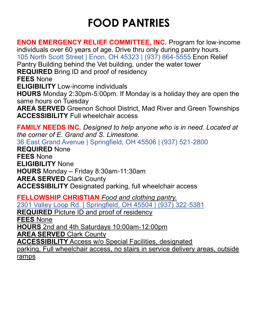**ENON EMERGENCY RELIEF COMMITTEE, INC.** Program for low-income individuals over 60 years of age. Drive thru only during pantry hours. 105 North Scott Street | Enon, OH 45323 | (937) 864-5555 Enon Relief Pantry Building behind the Vet building, under the water tower **REQUIRED** Bring ID and proof of residency **FEES** None **ELIGIBILITY** Low-income individuals **HOURS** Monday 2:30pm-5:00pm. If Monday is a holiday they are open the same hours on Tuesday **AREA SERVED** Greenon School District, Mad River and Green Townships **ACCESSIBILITY** Full wheelchair access

**FAMILY NEEDS INC**. *Designed to help anyone who is in need. Located at the corner of E. Grand and S. Limestone.* 36 East Grand Avenue | Springfield, OH 45506 | (937) 521-2800 **REQUIRED** None

**FEES** None **ELIGIBILITY** None **HOURS** Monday – Friday 8:30am-11:30am **AREA SERVED** Clark County **ACCESSIBILITY** Designated parking, full wheelchair access

**FELLOWSHIP CHRISTIAN** *Food and clothing pantry.*

2301 Valley Loop Rd. | Springfield, OH 45504 | (937) 322-5381

**REQUIRED** Picture ID and proof of residency

**FEES** None

**HOURS** 2nd and 4th Saturdays 10:00am-12:00pm

**AREA SERVED** Clark County

**ACCESSIBILITY** Access w/o Special Facilities, designated

parking, Full wheelchair access, no stairs in service delivery areas, outside ramps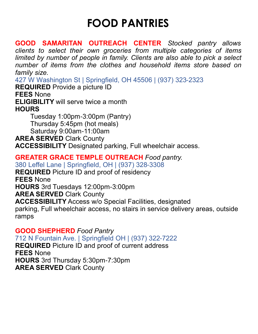**GOOD SAMARITAN OUTREACH CENTER** *Stocked pantry allows clients to select their own groceries from multiple categories of items limited by number of people in family. Clients are also able to pick a select number of items from the clothes and household items store based on family size.*

427 W Washington St | Springfield, OH 45506 | (937) 323-2323 **REQUIRED** Provide a picture ID **FEES** None **ELIGIBILITY** will serve twice a month

**HOURS**

Tuesday 1:00pm-3:00pm (Pantry) Thursday 5:45pm (hot meals) Saturday 9:00am-11:00am

**AREA SERVED** Clark County **ACCESSIBILITY** Designated parking, Full wheelchair access.

#### **GREATER GRACE TEMPLE OUTREACH** *Food pantry.*

380 Leffel Lane | Springfield, OH | (937) 328-3308 **REQUIRED** Picture ID and proof of residency **FEES** None **HOURS** 3rd Tuesdays 12:00pm-3:00pm **AREA SERVED** Clark County **ACCESSIBILITY** Access w/o Special Facilities, designated parking, Full wheelchair access, no stairs in service delivery areas, outside ramps

**GOOD SHEPHERD** *Food Pantry* 712 N Fountain Ave. | Springfield OH | (937) 322-7222 **REQUIRED** Picture ID and proof of current address **FEES** None **HOURS** 3rd Thursday 5:30pm-7:30pm **AREA SERVED** Clark County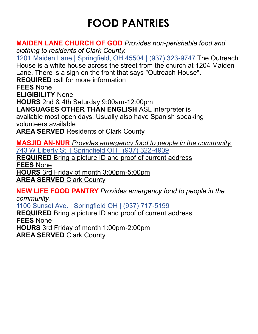**MAIDEN LANE CHURCH OF GOD** *Provides non-perishable food and clothing to residents of Clark County.*

1201 Maiden Lane | Springfield, OH 45504 | (937) 323-9747 The Outreach House is a white house across the street from the church at 1204 Maiden Lane. There is a sign on the front that says "Outreach House". **REQUIRED** call for more information **FEES** None **ELIGIBILITY** None **HOURS** 2nd & 4th Saturday 9:00am-12:00pm **LANGUAGES OTHER THAN ENGLISH** ASL interpreter is available most open days. Usually also have Spanish speaking volunteers available **AREA SERVED** Residents of Clark County

**MASJID AN-NUR** *Provides emergency food to people in the community.* 743 W Liberty St. | Springfield OH | (937) 322-4909

**REQUIRED** Bring a picture ID and proof of current address

**FEES** None

**HOURS** 3rd Friday of month 3:00pm-5:00pm

**AREA SERVED** Clark County

**NEW LIFE FOOD PANTRY** *Provides emergency food to people in the community.*

1100 Sunset Ave. | Springfield OH | (937) 717-5199 **REQUIRED** Bring a picture ID and proof of current address **FEES** None **HOURS** 3rd Friday of month 1:00pm-2:00pm **AREA SERVED** Clark County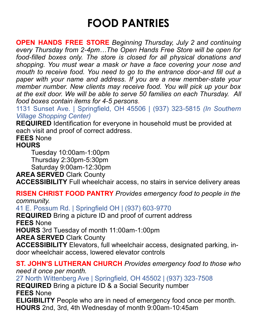**OPEN HANDS FREE STORE** *Beginning Thursday, July 2 and continuing every Thursday from 2-4pm…The Open Hands Free Store will be open for food-filled boxes only. The store is closed for all physical donations and shopping. You must wear a mask or have a face covering your nose and mouth to receive food. You need to go to the entrance door-and fill out a paper with your name and address. If you are a new member-state your member number. New clients may receive food. You will pick up your box at the exit door. We will be able to serve 50 families on each Thursday. All food boxes contain items for 4-5 persons*.

1131 Sunset Ave. | Springfield, OH 45506 | (937) 323-5815 *(In Southern Village Shopping Center)*

**REQUIRED** Identification for everyone in household must be provided at each visit and proof of correct address.

**FEES** None **HOURS**

> Tuesday 10:00am-1:00pm Thursday 2:30pm-5:30pm Saturday 9:00am-12:30pm

**AREA SERVED** Clark County **ACCESSIBILITY** Full wheelchair access, no stairs in service delivery areas

**RISEN CHRIST FOOD PANTRY** *Provides emergency food to people in the community.*

41 E. Possum Rd. | Springfield OH | (937) 603-9770

**REQUIRED** Bring a picture ID and proof of current address **FEES** None

**HOURS** 3rd Tuesday of month 11:00am-1:00pm

**AREA SERVED** Clark County

**ACCESSIBILITY** Elevators, full wheelchair access, designated parking, indoor wheelchair access, lowered elevator controls

## **ST. JOHN'S LUTHERAN CHURCH** *Provides emergency food to those who*

*need it once per month.* 27 North Wittenberg Ave | Springfield, OH 45502 | (937) 323-7508 **REQUIRED** Bring a picture ID & a Social Security number

**FEES** None

**ELIGIBILITY** People who are in need of emergency food once per month. **HOURS** 2nd, 3rd, 4th Wednesday of month 9:00am-10:45am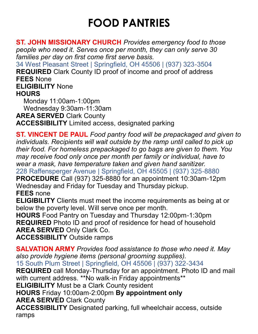**ST. JOHN MISSIONARY CHURCH** *Provides emergency food to those people who need it. Serves once per month, they can only serve 30*

*families per day on first come first serve basis.*

34 West Pleasant Street | Springfield, OH 45506 | (937) 323-3504

**REQUIRED** Clark County ID proof of income and proof of address **FEES** None

**ELIGIBILITY** None **HOURS**

Monday 11:00am-1:00pm Wednesday 9:30am-11:30am **AREA SERVED** Clark County **ACCESSIBILITY** Limited access, designated parking

**ST. VINCENT DE PAUL** *Food pantry food will be prepackaged and given to individuals. Recipients will wait outside by the ramp until called to pick up their food. For homeless prepackaged to go bags are given to them. You may receive food only once per month per family or individual, have to wear a mask, have temperature taken and given hand sanitizer.*

228 Raffensperger Avenue | Springfield, OH 45505 | (937) 325-8880 **PROCEDURE** Call (937) 325-8880 for an appointment 10:30am-12pm Wednesday and Friday for Tuesday and Thursday pickup.

**FEES** none

**ELIGIBILITY** Clients must meet the income requirements as being at or below the poverty level. Will serve once per month.

**HOURS** Food Pantry on Tuesday and Thursday 12:00pm-1:30pm **REQUIRED** Photo ID and proof of residence for head of household **AREA SERVED** Only Clark Co.

**ACCESSIBILITY** Outside ramps

**SALVATION ARMY** *Provides food assistance to those who need it. May also provide hygiene items (personal grooming supplies).*

15 South Plum Street | Springfield, OH 45506 | (937) 322-3434

**REQUIRED** call Monday-Thursday for an appointment. Photo ID and mail with current address. \*\*No walk-in Friday appointments\*\*

**ELIGIBILITY** Must be a Clark County resident

**HOURS** Friday 10:00am-2:00pm **By appointment only**

**AREA SERVED** Clark County

**ACCESSIBILITY** Designated parking, full wheelchair access, outside ramps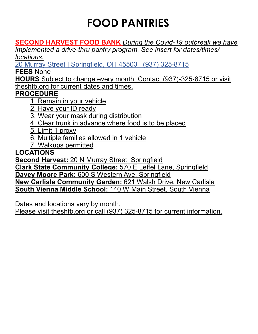**SECOND HARVEST FOOD BANK** *During the Covid-19 outbreak we have implemented a drive-thru pantry program. See insert for dates/times/*

*locations.*

20 Murray Street | Springfield, OH 45503 | (937) 325-8715

**FEES** None

**HOURS** Subject to change every month. Contact (937)-325-8715 or visit theshfb.org for current dates and times.

#### **PROCEDURE**

1. Remain in your vehicle

2. Have your ID ready

3. Wear your mask during distribution

4. Clear trunk in advance where food is to be placed

5. Limit 1 proxy

6. Multiple families allowed in 1 vehicle

7. Walkups permitted

**LOCATIONS**

**Second Harvest:** 20 N Murray Street, Springfield

**Clark State Community College:** 570 E Leffel Lane, Springfield **Davey Moore Park:** 600 S Western Ave, Springfield **New Carlisle Community Garden:** 621 Walsh Drive, New Carlisle **South Vienna Middle School:** 140 W Main Street, South Vienna

Dates and locations vary by month.

Please visit theshfb.org or call (937) 325-8715 for current information.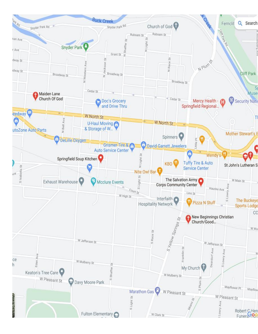